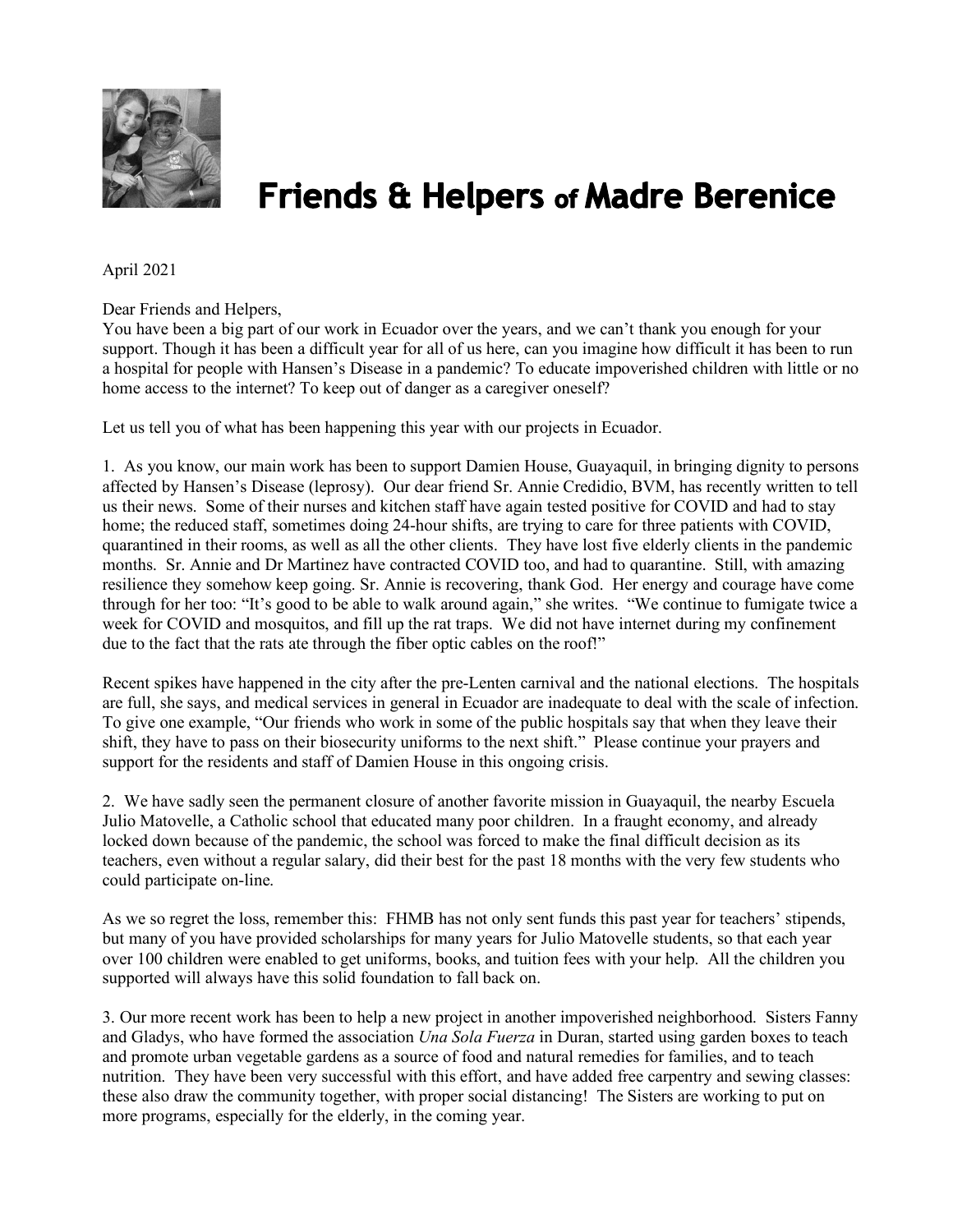

## **Friends & Helpers of Madre Berenice**

## April 2021

Dear Friends and Helpers,

You have been a big part of our work in Ecuador over the years, and we can't thank you enough for your support. Though it has been a difficult year for all of us here, can you imagine how difficult it has been to run a hospital for people with Hansen's Disease in a pandemic? To educate impoverished children with little or no home access to the internet? To keep out of danger as a caregiver oneself?

Let us tell you of what has been happening this year with our projects in Ecuador.

1. As you know, our main work has been to support Damien House, Guayaquil, in bringing dignity to persons affected by Hansen's Disease (leprosy). Our dear friend Sr. Annie Credidio, BVM, has recently written to tell us their news. Some of their nurses and kitchen staff have again tested positive for COVID and had to stay home; the reduced staff, sometimes doing 24-hour shifts, are trying to care for three patients with COVID, quarantined in their rooms, as well as all the other clients. They have lost five elderly clients in the pandemic months. Sr. Annie and Dr Martinez have contracted COVID too, and had to quarantine. Still, with amazing resilience they somehow keep going. Sr. Annie is recovering, thank God. Her energy and courage have come through for her too: "It's good to be able to walk around again," she writes. "We continue to fumigate twice a week for COVID and mosquitos, and fill up the rat traps. We did not have internet during my confinement due to the fact that the rats ate through the fiber optic cables on the roof!"

Recent spikes have happened in the city after the pre-Lenten carnival and the national elections. The hospitals are full, she says, and medical services in general in Ecuador are inadequate to deal with the scale of infection. To give one example, "Our friends who work in some of the public hospitals say that when they leave their shift, they have to pass on their biosecurity uniforms to the next shift." Please continue your prayers and support for the residents and staff of Damien House in this ongoing crisis.

2. We have sadly seen the permanent closure of another favorite mission in Guayaquil, the nearby Escuela Julio Matovelle, a Catholic school that educated many poor children. In a fraught economy, and already locked down because of the pandemic, the school was forced to make the final difficult decision as its teachers, even without a regular salary, did their best for the past 18 months with the very few students who could participate on-line.

As we so regret the loss, remember this: FHMB has not only sent funds this past year for teachers' stipends, but many of you have provided scholarships for many years for Julio Matovelle students, so that each year over 100 children were enabled to get uniforms, books, and tuition fees with your help. All the children you supported will always have this solid foundation to fall back on.

3. Our more recent work has been to help a new project in another impoverished neighborhood. Sisters Fanny and Gladys, who have formed the association *Una Sola Fuerza* in Duran, started using garden boxes to teach and promote urban vegetable gardens as a source of food and natural remedies for families, and to teach nutrition. They have been very successful with this effort, and have added free carpentry and sewing classes: these also draw the community together, with proper social distancing! The Sisters are working to put on more programs, especially for the elderly, in the coming year.